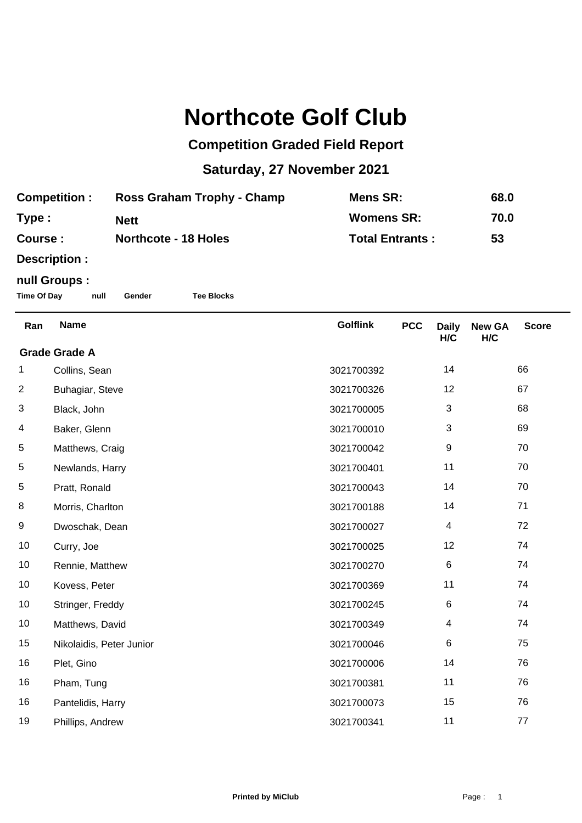## **Northcote Golf Club**

## **Competition Graded Field Report**

## **Saturday, 27 November 2021**

| <b>Competition:</b> | Ross Graham Trophy - Champ  | Mens SR:               | 68.0 |
|---------------------|-----------------------------|------------------------|------|
| Type:               | <b>Nett</b>                 | <b>Womens SR:</b>      | 70.0 |
| Course :            | <b>Northcote - 18 Holes</b> | <b>Total Entrants:</b> | 53   |

**Description :**

## **null Groups :**

**Time Of Day null Gender Tee Blocks**

| Ran                  | <b>Name</b>              | <b>Golflink</b> | <b>PCC</b> | <b>Daily</b><br>H/C | <b>New GA</b><br>H/C | <b>Score</b> |
|----------------------|--------------------------|-----------------|------------|---------------------|----------------------|--------------|
| <b>Grade Grade A</b> |                          |                 |            |                     |                      |              |
| 1                    | Collins, Sean            | 3021700392      |            | 14                  |                      | 66           |
| $\overline{2}$       | Buhagiar, Steve          | 3021700326      |            | 12                  |                      | 67           |
| 3                    | Black, John              | 3021700005      |            | 3                   |                      | 68           |
| 4                    | Baker, Glenn             | 3021700010      |            | 3                   |                      | 69           |
| 5                    | Matthews, Craig          | 3021700042      |            | 9                   |                      | 70           |
| 5                    | Newlands, Harry          | 3021700401      |            | 11                  |                      | 70           |
| $\,$ 5 $\,$          | Pratt, Ronald            | 3021700043      |            | 14                  |                      | 70           |
| 8                    | Morris, Charlton         | 3021700188      |            | 14                  |                      | 71           |
| 9                    | Dwoschak, Dean           | 3021700027      |            | 4                   |                      | 72           |
| 10                   | Curry, Joe               | 3021700025      |            | 12                  |                      | 74           |
| 10                   | Rennie, Matthew          | 3021700270      |            | $\,6$               |                      | 74           |
| 10                   | Kovess, Peter            | 3021700369      |            | 11                  |                      | 74           |
| 10                   | Stringer, Freddy         | 3021700245      |            | 6                   |                      | 74           |
| 10                   | Matthews, David          | 3021700349      |            | 4                   |                      | 74           |
| 15                   | Nikolaidis, Peter Junior | 3021700046      |            | 6                   |                      | 75           |
| 16                   | Plet, Gino               | 3021700006      |            | 14                  |                      | 76           |
| 16                   | Pham, Tung               | 3021700381      |            | 11                  |                      | 76           |
| 16                   | Pantelidis, Harry        | 3021700073      |            | 15                  |                      | 76           |
| 19                   | Phillips, Andrew         | 3021700341      |            | 11                  |                      | 77           |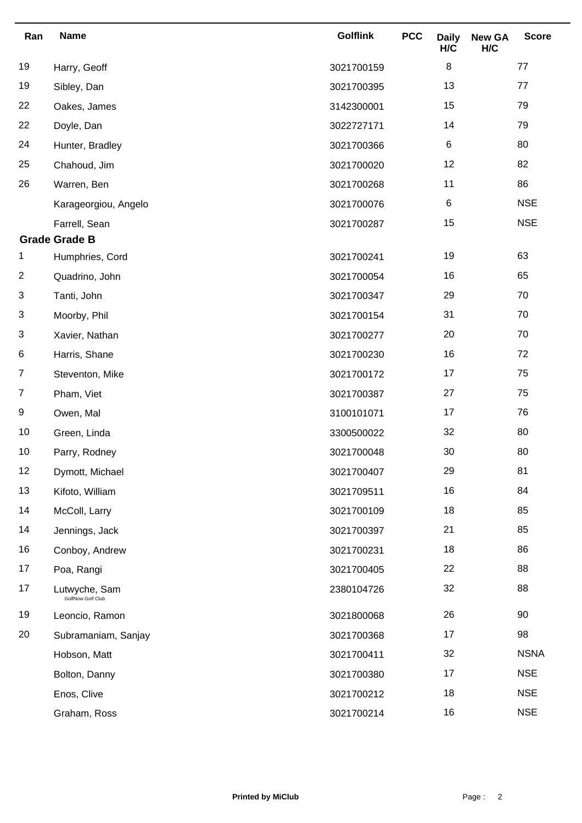| Ran            | <b>Name</b>                        | <b>Golflink</b> | <b>PCC</b> | <b>Daily</b><br>H/C | <b>New GA</b><br>H/C | <b>Score</b> |
|----------------|------------------------------------|-----------------|------------|---------------------|----------------------|--------------|
| 19             | Harry, Geoff                       | 3021700159      |            | 8                   |                      | 77           |
| 19             | Sibley, Dan                        | 3021700395      |            | 13                  |                      | 77           |
| 22             | Oakes, James                       | 3142300001      |            | 15                  |                      | 79           |
| 22             | Doyle, Dan                         | 3022727171      |            | 14                  |                      | 79           |
| 24             | Hunter, Bradley                    | 3021700366      |            | 6                   |                      | 80           |
| 25             | Chahoud, Jim                       | 3021700020      |            | 12                  |                      | 82           |
| 26             | Warren, Ben                        | 3021700268      |            | 11                  |                      | 86           |
|                | Karageorgiou, Angelo               | 3021700076      |            | 6                   |                      | <b>NSE</b>   |
|                | Farrell, Sean                      | 3021700287      |            | 15                  |                      | <b>NSE</b>   |
|                | <b>Grade Grade B</b>               |                 |            |                     |                      |              |
| 1              | Humphries, Cord                    | 3021700241      |            | 19                  |                      | 63           |
| $\overline{2}$ | Quadrino, John                     | 3021700054      |            | 16                  |                      | 65           |
| 3              | Tanti, John                        | 3021700347      |            | 29                  |                      | 70           |
| 3              | Moorby, Phil                       | 3021700154      |            | 31                  |                      | 70           |
| 3              | Xavier, Nathan                     | 3021700277      |            | 20                  |                      | 70           |
| 6              | Harris, Shane                      | 3021700230      |            | 16                  |                      | 72           |
| $\overline{7}$ | Steventon, Mike                    | 3021700172      |            | 17                  |                      | 75           |
| $\overline{7}$ | Pham, Viet                         | 3021700387      |            | 27                  |                      | 75           |
| 9              | Owen, Mal                          | 3100101071      |            | 17                  |                      | 76           |
| 10             | Green, Linda                       | 3300500022      |            | 32                  |                      | 80           |
| 10             | Parry, Rodney                      | 3021700048      |            | 30                  |                      | 80           |
| 12             | Dymott, Michael                    | 3021700407      |            | 29                  |                      | 81           |
| 13             | Kifoto, William                    | 3021709511      |            | 16                  |                      | 84           |
| 14             | McColl, Larry                      | 3021700109      |            | 18                  |                      | 85           |
| 14             | Jennings, Jack                     | 3021700397      |            | 21                  |                      | 85           |
| 16             | Conboy, Andrew                     | 3021700231      |            | 18                  |                      | 86           |
| 17             | Poa, Rangi                         | 3021700405      |            | 22                  |                      | 88           |
| 17             | Lutwyche, Sam<br>GolfNow Golf Club | 2380104726      |            | 32                  |                      | 88           |
| 19             | Leoncio, Ramon                     | 3021800068      |            | 26                  |                      | 90           |
| 20             | Subramaniam, Sanjay                | 3021700368      |            | 17                  |                      | 98           |
|                | Hobson, Matt                       | 3021700411      |            | 32                  |                      | <b>NSNA</b>  |
|                | Bolton, Danny                      | 3021700380      |            | 17                  |                      | <b>NSE</b>   |
|                | Enos, Clive                        | 3021700212      |            | 18                  |                      | <b>NSE</b>   |
|                | Graham, Ross                       | 3021700214      |            | 16                  |                      | <b>NSE</b>   |